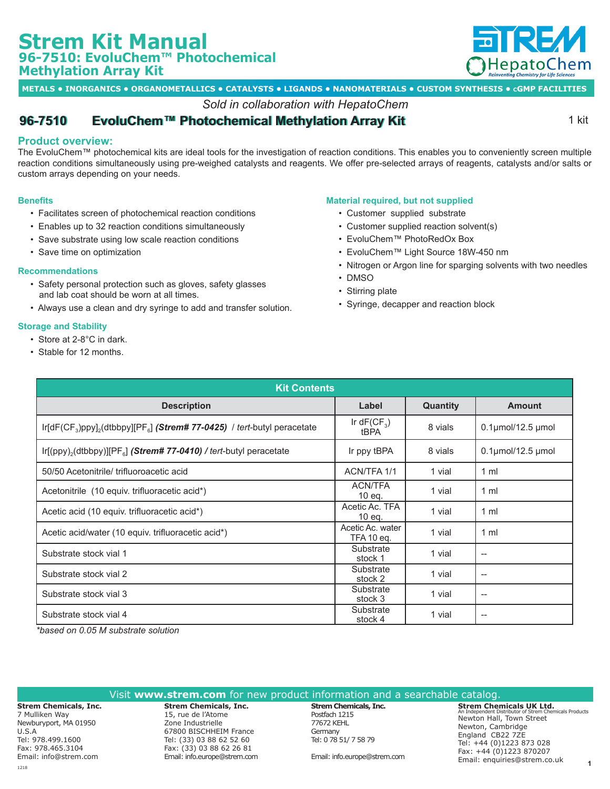# **Strem Kit Manual 96-7510: EvoluChem™ Photochemical Methylation Array Kit**



**METALS • INORGANICS • ORGANOMETALLICS • CATALYSTS • LIGANDS • NANOMATERIALS • CUSTOM SYNTHESIS • cGMP FACILITIES**

## *Sold in collaboration with HepatoChem*

## **[96-7510](https://www.strem.com/catalog/v/96-7510/) •• EvoluChem™ Photochemical Methylation Array Kit Example 2018** 1 kit

### **Product overview:**

The EvoluChem™ photochemical kits are ideal tools for the investigation of reaction conditions. This enables you to conveniently screen multiple reaction conditions simultaneously using pre-weighed catalysts and reagents. We offer pre-selected arrays of reagents, catalysts and/or salts or custom arrays depending on your needs.

#### **Benefits**

- Facilitates screen of photochemical reaction conditions
- Enables up to 32 reaction conditions simultaneously
- Save substrate using low scale reaction conditions
- Save time on optimization

#### **Recommendations**

- Safety personal protection such as gloves, safety glasses and lab coat should be worn at all times.
- Always use a clean and dry syringe to add and transfer solution.

#### **Storage and Stability**

- Store at 2-8°C in dark.
- Stable for 12 months.

#### **Material required, but not supplied**

- Customer supplied substrate
- Customer supplied reaction solvent(s)
- EvoluChem™ PhotoRedOx Box
- EvoluChem™ Light Source 18W-450 nm
- Nitrogen or Argon line for sparging solvents with two needles
- DMSO
- Stirring plate
- Syringe, decapper and reaction block

| <b>Kit Contents</b>                                                                          |                                |                 |                          |  |  |
|----------------------------------------------------------------------------------------------|--------------------------------|-----------------|--------------------------|--|--|
| <b>Description</b>                                                                           | Label                          | <b>Quantity</b> | <b>Amount</b>            |  |  |
| $Ir[dF(CF_3)ppy]_2(dtbbpy][PF_8]$ (Strem# 77-0425) / tert-butyl peracetate                   | Ir dF( $CF_3$ )<br>tBPA        | 8 vials         | $0.1$ µmol/12.5 µmol     |  |  |
| $Ir[(ppy)$ <sub>2</sub> (dtbbpy)][PF <sub>a</sub> ] (Strem# 77-0410) / tert-butyl peracetate | Ir ppy tBPA                    | 8 vials         | $0.1$ µmol/12.5 µmol     |  |  |
| 50/50 Acetonitrile/ trifluoroacetic acid                                                     | ACN/TFA 1/1                    | 1 vial          | 1 <sub>m</sub>           |  |  |
| Acetonitrile (10 equiv. trifluoracetic acid*)                                                | <b>ACN/TFA</b><br>10 eq.       | 1 vial          | 1 <sub>m</sub>           |  |  |
| Acetic acid (10 equiv. trifluoracetic acid*)                                                 | Acetic Ac. TFA<br>10 eq.       | 1 vial          | 1 <sub>m</sub>           |  |  |
| Acetic acid/water (10 equiv. trifluoracetic acid*)                                           | Acetic Ac. water<br>TFA 10 eg. | 1 vial          | 1 <sub>m</sub>           |  |  |
| Substrate stock vial 1                                                                       | Substrate<br>stock 1           | 1 vial          | $\qquad \qquad -$        |  |  |
| Substrate stock vial 2                                                                       | Substrate<br>stock 2           | 1 vial          | $\overline{\phantom{a}}$ |  |  |
| Substrate stock vial 3                                                                       | Substrate<br>stock 3           | 1 vial          | $\overline{\phantom{a}}$ |  |  |
| Substrate stock vial 4                                                                       | Substrate<br>stock 4           | 1 vial          | $-\!$                    |  |  |

*\*based on 0.05 M substrate solution*

#### Visit **www.strem.com** for new product information and a searchable catalog.

**Strem Chemicals, Inc.** 7 Mulliken Way Newburyport, MA 01950 U.S.A Tel: 978.499.1600 Fax: 978.465.3104 Email: info@strem.com

**Strem Chemicals, Inc.**  15, rue de l'Atome Zone Industrielle 67800 BISCHHEIM France Tel: (33) 03 88 62 52 60 Fax: (33) 03 88 62 26 81 Email: info.europe@strem.com

**Strem Chemicals, Inc.** Postfach 1215 77672 KEHL Germany Tel: 0 78 51/ 7 58 79

Email: info.europe@strem.com

**Strem Chemicals UK Ltd.** An Independent Distributor of Strem Chemicals Products Newton Hall, Town Street Newton, Cambridge England CB22 7ZE Tel: +44 (0)1223 873 028 Fax: +44 (0)1223 870207 Email: enquiries@strem.co.uk